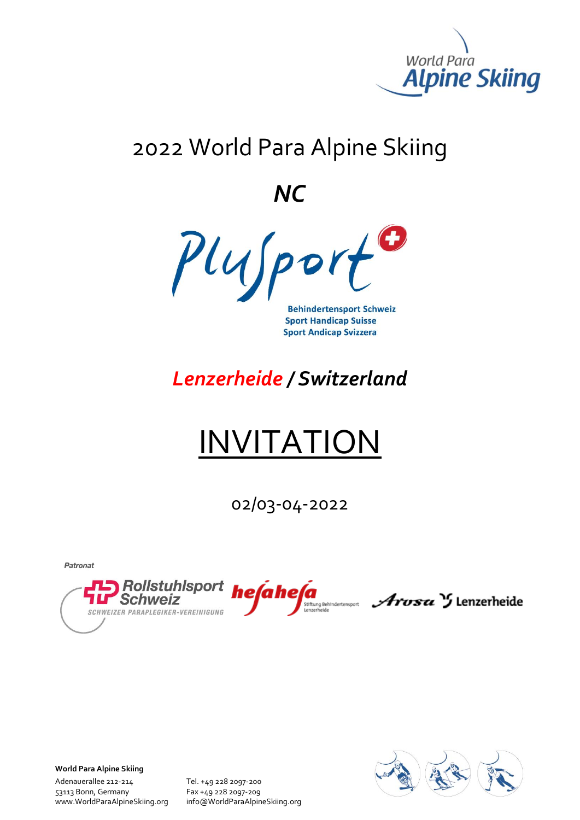

## 2022 World Para Alpine Skiing

*NC*



**Behindertensport Schweiz Sport Handicap Suisse Sport Andicap Svizzera** 

## *Lenzerheide / Switzerland*

# INVITATIO

02/03-04-2022

Rollstuhlsport hefahefa $\mathcal{S}_{\text{Stiff}_\text{rems} \text{Set} \text{indeterminant}}$  Arosa Y Lenzerheide SCHWEIZER PARAPLEGIKER-VEREINIGUNG

**World Para Alpine Skiing**

Patronat

Adenauerallee 212-214 Tel. +49 228 2097-200 53113 Bonn, Germany Fax +49 228 2097-209

www.WorldParaAlpineSkiing.org info@WorldParaAlpineSkiing.org

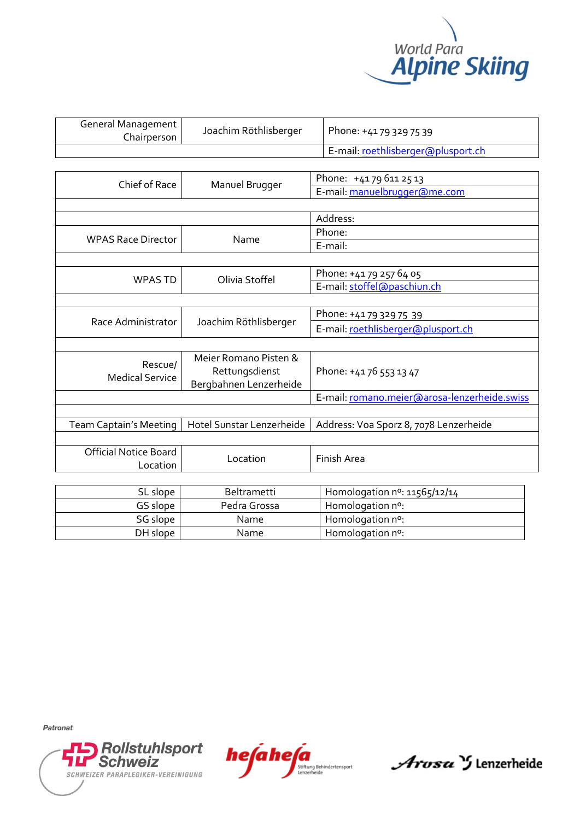

| <b>General Management</b><br>Chairperson | Joachim Röthlisberger     |                         | Phone: +41 79 329 75 39                      |  |
|------------------------------------------|---------------------------|-------------------------|----------------------------------------------|--|
|                                          |                           |                         | E-mail: roethlisberger@plusport.ch           |  |
|                                          |                           |                         |                                              |  |
| Chief of Race                            | Manuel Brugger            |                         | Phone: +4179 611 25 13                       |  |
|                                          |                           |                         | E-mail: manuelbrugger@me.com                 |  |
|                                          |                           |                         |                                              |  |
|                                          |                           |                         | Address:                                     |  |
| <b>WPAS Race Director</b>                | Name                      |                         | Phone:                                       |  |
|                                          |                           |                         | E-mail:                                      |  |
|                                          |                           |                         |                                              |  |
| <b>WPAS TD</b>                           | Olivia Stoffel            |                         | Phone: +41 79 257 64 05                      |  |
|                                          |                           |                         | E-mail: stoffel@paschiun.ch                  |  |
|                                          |                           |                         |                                              |  |
| Race Administrator                       |                           |                         | Phone: +41 79 329 75 39                      |  |
|                                          | Joachim Röthlisberger     |                         | E-mail: roethlisberger@plusport.ch           |  |
|                                          |                           |                         |                                              |  |
| Rescue/                                  | Meier Romano Pisten &     | Phone: +41 76 553 13 47 |                                              |  |
| <b>Medical Service</b>                   | Rettungsdienst            |                         |                                              |  |
|                                          | Bergbahnen Lenzerheide    |                         |                                              |  |
|                                          |                           |                         | E-mail: romano.meier@arosa-lenzerheide.swiss |  |
|                                          |                           |                         |                                              |  |
| <b>Team Captain's Meeting</b>            | Hotel Sunstar Lenzerheide |                         | Address: Voa Sporz 8, 7078 Lenzerheide       |  |
|                                          |                           |                         |                                              |  |
| <b>Official Notice Board</b>             |                           | Finish Area<br>Location |                                              |  |
| Location                                 |                           |                         |                                              |  |
|                                          |                           |                         |                                              |  |
| SL slope                                 | Beltrametti               |                         | Homologation nº: 11565/12/14                 |  |
| GS slope                                 | Pedra Grossa              |                         | Homologation nº:                             |  |
| SG slope                                 | Name                      |                         | Homologation nº:                             |  |
| DH slope                                 | Name                      |                         | Homologation nº:                             |  |



hefahefa

 $\mathcal{A}$ rosa  $\mathcal{Y}$  Lenzerheide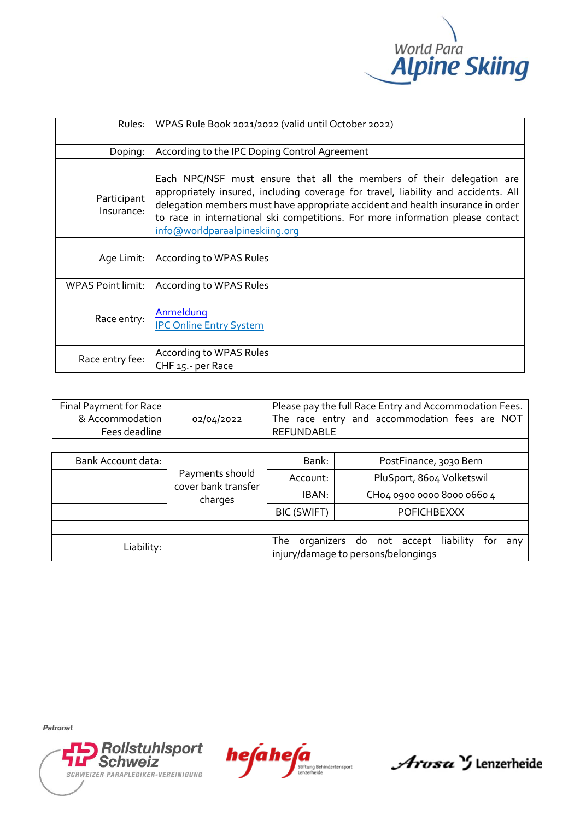

| Rules:                    | WPAS Rule Book 2021/2022 (valid until October 2022)                                                                                                                                                                                                                                                                                                                |  |  |  |
|---------------------------|--------------------------------------------------------------------------------------------------------------------------------------------------------------------------------------------------------------------------------------------------------------------------------------------------------------------------------------------------------------------|--|--|--|
|                           |                                                                                                                                                                                                                                                                                                                                                                    |  |  |  |
| Doping:                   | According to the IPC Doping Control Agreement                                                                                                                                                                                                                                                                                                                      |  |  |  |
|                           |                                                                                                                                                                                                                                                                                                                                                                    |  |  |  |
| Participant<br>Insurance: | Each NPC/NSF must ensure that all the members of their delegation are<br>appropriately insured, including coverage for travel, liability and accidents. All<br>delegation members must have appropriate accident and health insurance in order<br>to race in international ski competitions. For more information please contact<br>info@worldparaalpineskiing.org |  |  |  |
|                           |                                                                                                                                                                                                                                                                                                                                                                    |  |  |  |
| Age Limit:                | According to WPAS Rules                                                                                                                                                                                                                                                                                                                                            |  |  |  |
|                           |                                                                                                                                                                                                                                                                                                                                                                    |  |  |  |
| <b>WPAS Point limit:</b>  | According to WPAS Rules                                                                                                                                                                                                                                                                                                                                            |  |  |  |
|                           |                                                                                                                                                                                                                                                                                                                                                                    |  |  |  |
| Race entry:               | Anmeldung<br><b>IPC Online Entry System</b>                                                                                                                                                                                                                                                                                                                        |  |  |  |
|                           |                                                                                                                                                                                                                                                                                                                                                                    |  |  |  |
| Race entry fee:           | According to WPAS Rules<br>CHF 15 .- per Race                                                                                                                                                                                                                                                                                                                      |  |  |  |

| Final Payment for Race<br>& Accommodation<br>Fees deadline | 02/04/2022                                        | Please pay the full Race Entry and Accommodation Fees.<br>The race entry and accommodation fees are NOT<br><b>REFUNDABLE</b> |                            |  |  |  |
|------------------------------------------------------------|---------------------------------------------------|------------------------------------------------------------------------------------------------------------------------------|----------------------------|--|--|--|
|                                                            |                                                   |                                                                                                                              |                            |  |  |  |
| Bank Account data:                                         | Payments should<br>cover bank transfer<br>charges | Bank:                                                                                                                        | PostFinance, 3030 Bern     |  |  |  |
|                                                            |                                                   | Account:                                                                                                                     | PluSport, 8604 Volketswil  |  |  |  |
|                                                            |                                                   | IBAN:                                                                                                                        | CH04 0900 0000 8000 0660 4 |  |  |  |
|                                                            |                                                   | BIC (SWIFT)                                                                                                                  | <b>POFICHBEXXX</b>         |  |  |  |
|                                                            |                                                   |                                                                                                                              |                            |  |  |  |
| Liability:                                                 |                                                   | The<br>liability<br>organizers do not accept<br>tor<br>any<br>injury/damage to persons/belongings                            |                            |  |  |  |



hefahefa

Arvsa Y Lenzerheide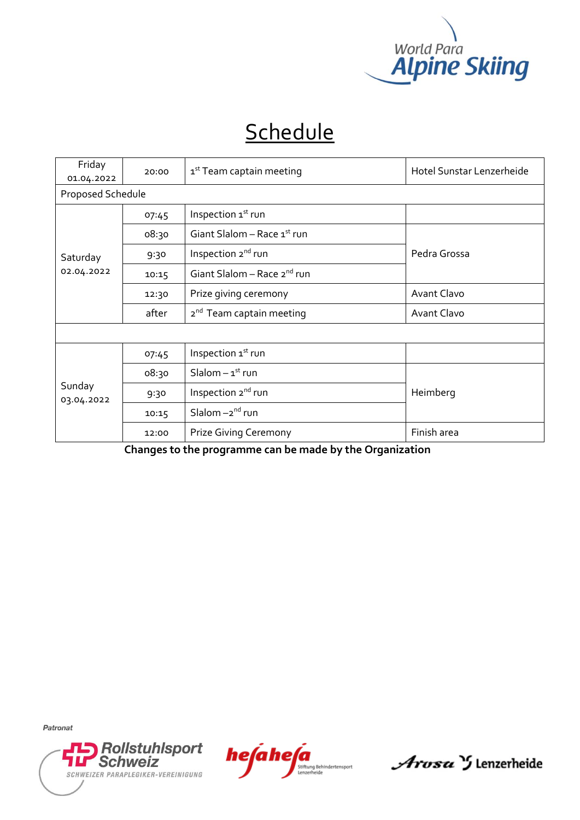

## **Schedule**

| Friday                 | 20:00                         | 1 <sup>st</sup> Team captain meeting    | Hotel Sunstar Lenzerheide |  |  |  |  |  |
|------------------------|-------------------------------|-----------------------------------------|---------------------------|--|--|--|--|--|
| 01.04.2022             |                               |                                         |                           |  |  |  |  |  |
| Proposed Schedule      |                               |                                         |                           |  |  |  |  |  |
| Saturday<br>02.04.2022 | 07:45                         | Inspection 1 <sup>st</sup> run          |                           |  |  |  |  |  |
|                        | 08:30                         | Giant Slalom – Race $1st$ run           | Pedra Grossa              |  |  |  |  |  |
|                        | 9:30                          | Inspection 2 <sup>nd</sup> run          |                           |  |  |  |  |  |
|                        | 10:15                         | Giant Slalom - Race 2 <sup>nd</sup> run |                           |  |  |  |  |  |
|                        | 12:30                         | Prize giving ceremony                   | Avant Clavo               |  |  |  |  |  |
|                        | after                         | 2 <sup>nd</sup> Team captain meeting    | Avant Clavo               |  |  |  |  |  |
|                        |                               |                                         |                           |  |  |  |  |  |
| Sunday<br>03.04.2022   | 07:45                         | Inspection 1 <sup>st</sup> run          |                           |  |  |  |  |  |
|                        | 08:30                         | Slalom $-1^{st}$ run                    | Heimberg                  |  |  |  |  |  |
|                        | 9:30                          | Inspection 2 <sup>nd</sup> run          |                           |  |  |  |  |  |
|                        | Slalom $-2^{nd}$ run<br>10:15 |                                         |                           |  |  |  |  |  |
|                        | 12:00                         | <b>Prize Giving Ceremony</b>            | Finish area               |  |  |  |  |  |

**Changes to the programme can be made by the Organization**



hefahefa

*Arosa* Y Lenzerheide